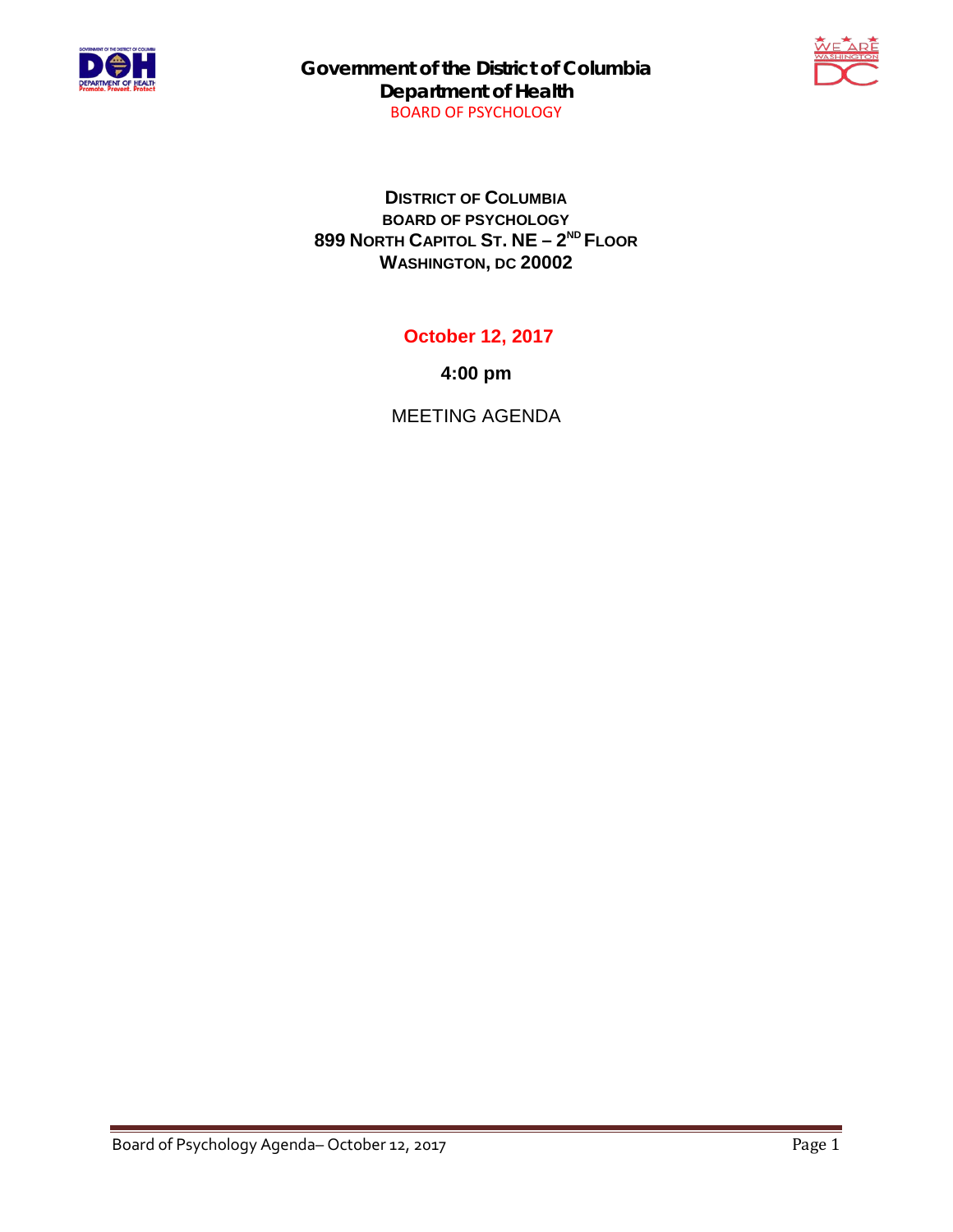

**Government of the District of Columbia Department of Health** BOARD OF PSYCHOLOGY



**DISTRICT OF COLUMBIA BOARD OF PSYCHOLOGY 899 NORTH CAPITOL ST. NE – 2ND FLOOR WASHINGTON, DC 20002**

## **October 12, 2017**

**4:00 pm**

MEETING AGENDA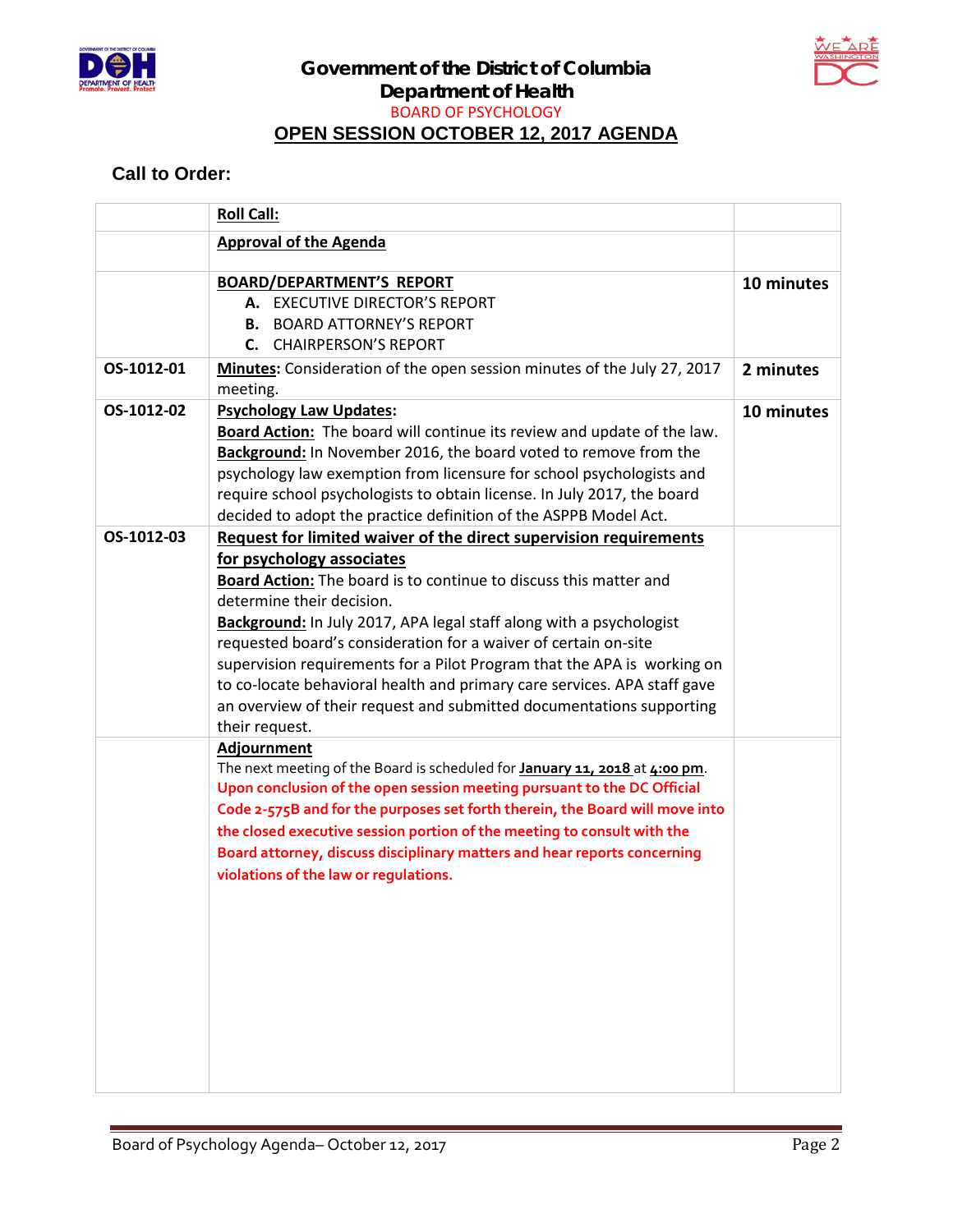



## **Call to Order:**

|            | <b>Roll Call:</b>                                                                                                                                                                                                                                                                                                                                                                                                                                                                                                                                                                           |            |
|------------|---------------------------------------------------------------------------------------------------------------------------------------------------------------------------------------------------------------------------------------------------------------------------------------------------------------------------------------------------------------------------------------------------------------------------------------------------------------------------------------------------------------------------------------------------------------------------------------------|------------|
|            | <b>Approval of the Agenda</b>                                                                                                                                                                                                                                                                                                                                                                                                                                                                                                                                                               |            |
|            | <b>BOARD/DEPARTMENT'S REPORT</b><br>A. EXECUTIVE DIRECTOR'S REPORT<br><b>B. BOARD ATTORNEY'S REPORT</b><br><b>C.</b> CHAIRPERSON'S REPORT                                                                                                                                                                                                                                                                                                                                                                                                                                                   | 10 minutes |
| OS-1012-01 | Minutes: Consideration of the open session minutes of the July 27, 2017<br>meeting.                                                                                                                                                                                                                                                                                                                                                                                                                                                                                                         | 2 minutes  |
| OS-1012-02 | <b>Psychology Law Updates:</b><br>Board Action: The board will continue its review and update of the law.<br>Background: In November 2016, the board voted to remove from the<br>psychology law exemption from licensure for school psychologists and<br>require school psychologists to obtain license. In July 2017, the board<br>decided to adopt the practice definition of the ASPPB Model Act.                                                                                                                                                                                        | 10 minutes |
| OS-1012-03 | Request for limited waiver of the direct supervision requirements<br>for psychology associates<br>Board Action: The board is to continue to discuss this matter and<br>determine their decision.<br>Background: In July 2017, APA legal staff along with a psychologist<br>requested board's consideration for a waiver of certain on-site<br>supervision requirements for a Pilot Program that the APA is working on<br>to co-locate behavioral health and primary care services. APA staff gave<br>an overview of their request and submitted documentations supporting<br>their request. |            |
|            | Adjournment<br>The next meeting of the Board is scheduled for <b>January 11, 2018</b> at 4:00 pm.<br>Upon conclusion of the open session meeting pursuant to the DC Official<br>Code 2-575B and for the purposes set forth therein, the Board will move into<br>the closed executive session portion of the meeting to consult with the<br>Board attorney, discuss disciplinary matters and hear reports concerning<br>violations of the law or regulations.                                                                                                                                |            |